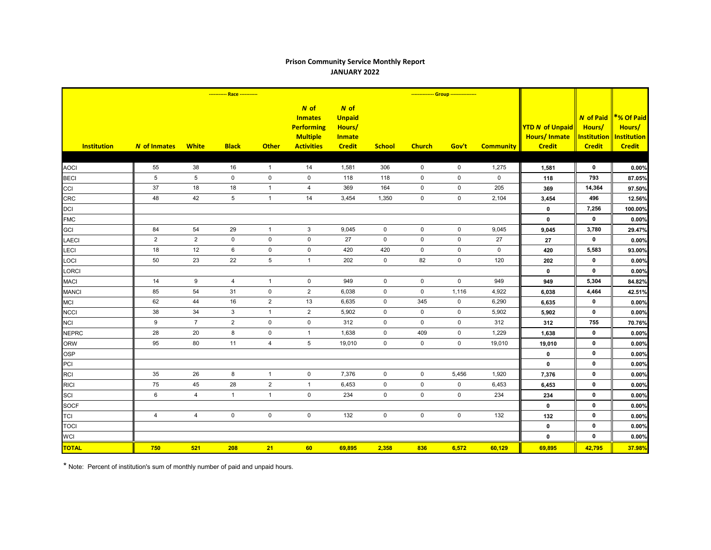## **Prison Community Service Monthly Report JANUARY 2022**

|                    | ----------- Race ----------- |                 |                 |                |                                                                                       |                                                                     |                     | -------------- Group ---------------- |             |                  |                                                                |                                                                   |                                                             |
|--------------------|------------------------------|-----------------|-----------------|----------------|---------------------------------------------------------------------------------------|---------------------------------------------------------------------|---------------------|---------------------------------------|-------------|------------------|----------------------------------------------------------------|-------------------------------------------------------------------|-------------------------------------------------------------|
| <b>Institution</b> | <b>N</b> of Inmates          | <b>White</b>    | <b>Black</b>    | <b>Other</b>   | $N$ of<br><b>Inmates</b><br><b>Performing</b><br><b>Multiple</b><br><b>Activities</b> | $N$ of<br><b>Unpaid</b><br>Hours/<br><b>Inmate</b><br><b>Credit</b> | <b>School</b>       | <b>Church</b>                         | Gov't       | <b>Community</b> | <b>YTD N of Unpaid</b><br><b>Hours/Inmate</b><br><b>Credit</b> | <b>N</b> of Paid<br>Hours/<br><b>Institution</b><br><b>Credit</b> | *% Of Paid<br>Hours/<br><b>Institution</b><br><b>Credit</b> |
|                    |                              |                 |                 |                |                                                                                       |                                                                     |                     |                                       |             |                  |                                                                |                                                                   |                                                             |
| <b>AOCI</b>        | 55                           | 38              | 16              | $\overline{1}$ | 14                                                                                    | 1,581                                                               | 306                 | 0                                     | $\mathbf 0$ | 1,275            | 1,581                                                          | $\mathbf 0$                                                       | 0.00%                                                       |
| <b>BECI</b>        | $5\phantom{.0}$              | $5\phantom{.0}$ | $\mathbf 0$     | $\pmb{0}$      | $\mathbf 0$                                                                           | 118                                                                 | 118                 | $\mathbf 0$                           | $\mathbf 0$ | $\mathbf 0$      | 118                                                            | 793                                                               | 87.05%                                                      |
| CCI                | 37                           | 18              | 18              | $\overline{1}$ | 4                                                                                     | 369                                                                 | 164                 | $\mathbf 0$                           | $\mathbf 0$ | 205              | 369                                                            | 14,364                                                            | 97.50%                                                      |
| <b>CRC</b>         | 48                           | 42              | $5\overline{)}$ | $\overline{1}$ | 14                                                                                    | 3,454                                                               | 1,350               | $\mathsf{O}\xspace$                   | $\mathsf 0$ | 2,104            | 3,454                                                          | 496                                                               | 12.56%                                                      |
| <b>DCI</b>         |                              |                 |                 |                |                                                                                       |                                                                     |                     |                                       |             |                  | $\mathbf 0$                                                    | 7,256                                                             | 100.00%                                                     |
| <b>FMC</b>         |                              |                 |                 |                |                                                                                       |                                                                     |                     |                                       |             |                  | $\mathbf{0}$                                                   | $\mathbf 0$                                                       | 0.00%                                                       |
| <b>GCI</b>         | 84                           | 54              | 29              | $\mathbf{1}$   | $\sqrt{3}$                                                                            | 9,045                                                               | $\mathsf{O}\xspace$ | $\mathsf 0$                           | $\mathsf 0$ | 9,045            | 9,045                                                          | 3,780                                                             | 29.47%                                                      |
| <b>LAECI</b>       | $\overline{2}$               | 2               | $\mathbf 0$     | $\pmb{0}$      | $\mathbf 0$                                                                           | 27                                                                  | $\mathbf 0$         | $\mathbf 0$                           | $\mathbf 0$ | 27               | 27                                                             | $\mathbf 0$                                                       | 0.00%                                                       |
| LECI               | 18                           | 12              | 6               | $\pmb{0}$      | $\mathbf 0$                                                                           | 420                                                                 | 420                 | $\mathbf 0$                           | $\mathbf 0$ | $\mathbf 0$      | 420                                                            | 5,583                                                             | 93.00%                                                      |
| LOCI               | 50                           | 23              | 22              | $\sqrt{5}$     | $\mathbf{1}$                                                                          | 202                                                                 | $\mathbf 0$         | 82                                    | $\mathbf 0$ | 120              | 202                                                            | 0                                                                 | 0.00%                                                       |
| <b>LORCI</b>       |                              |                 |                 |                |                                                                                       |                                                                     |                     |                                       |             |                  | $\mathbf 0$                                                    | $\mathbf{0}$                                                      | 0.00%                                                       |
| <b>MACI</b>        | 14                           | 9               | 4               | $\mathbf{1}$   | $\mathbf 0$                                                                           | 949                                                                 | $\mathbf 0$         | $\mathbf 0$                           | $\mathbf 0$ | 949              | 949                                                            | 5,304                                                             | 84.82%                                                      |
| <b>MANCI</b>       | 85                           | 54              | 31              | $\mathbf 0$    | $\overline{2}$                                                                        | 6,038                                                               | $\mathbf 0$         | $\mathbf 0$                           | 1,116       | 4,922            | 6,038                                                          | 4,464                                                             | 42.51%                                                      |
| <b>MCI</b>         | 62                           | 44              | 16              | $\overline{2}$ | 13                                                                                    | 6,635                                                               | $\mathbf 0$         | 345                                   | $\mathbf 0$ | 6,290            | 6,635                                                          | $\mathbf 0$                                                       | 0.00%                                                       |
| <b>NCCI</b>        | 38                           | 34              | 3               | $\mathbf{1}$   | $\mathbf{2}$                                                                          | 5,902                                                               | $\mathbf 0$         | $\mathbf 0$                           | $\mathbf 0$ | 5,902            | 5,902                                                          | $\mathbf 0$                                                       | 0.00%                                                       |
| <b>NCI</b>         | 9                            | $\overline{7}$  | $\overline{2}$  | $\pmb{0}$      | $\pmb{0}$                                                                             | 312                                                                 | $\mathsf{O}\xspace$ | $\mathsf 0$                           | $\pmb{0}$   | 312              | 312                                                            | 755                                                               | 70.76%                                                      |
| <b>NEPRC</b>       | 28                           | 20              | $\bf 8$         | $\pmb{0}$      | $\mathbf{1}$                                                                          | 1,638                                                               | 0                   | 409                                   | $\pmb{0}$   | 1,229            | 1,638                                                          | $\mathbf 0$                                                       | 0.00%                                                       |
| <b>ORW</b>         | 95                           | 80              | 11              | $\overline{4}$ | 5                                                                                     | 19,010                                                              | $\mathbf 0$         | $\mathbf 0$                           | $\mathbf 0$ | 19,010           | 19,010                                                         | $\mathbf 0$                                                       | 0.00%                                                       |
| <b>OSP</b>         |                              |                 |                 |                |                                                                                       |                                                                     |                     |                                       |             |                  | $\mathbf 0$                                                    | $\mathbf 0$                                                       | 0.00%                                                       |
| PCI                |                              |                 |                 |                |                                                                                       |                                                                     |                     |                                       |             |                  | $\pmb{0}$                                                      | $\mathbf 0$                                                       | 0.00%                                                       |
| <b>RCI</b>         | 35                           | 26              | 8               | $\mathbf{1}$   | $\mathbf 0$                                                                           | 7,376                                                               | $\mathbf 0$         | $\mathbf 0$                           | 5,456       | 1,920            | 7,376                                                          | $\mathbf 0$                                                       | 0.00%                                                       |
| <b>RICI</b>        | 75                           | 45              | 28              | $\mathbf 2$    | $\mathbf{1}$                                                                          | 6,453                                                               | $\mathbf 0$         | $\mathsf 0$                           | $\mathsf 0$ | 6,453            | 6,453                                                          | $\mathbf 0$                                                       | 0.00%                                                       |
| SCI                | $\,6\,$                      | $\overline{4}$  | $\mathbf{1}$    | $\mathbf{1}$   | $\mathbf 0$                                                                           | 234                                                                 | $\mathbf 0$         | $\mathbf 0$                           | $\mathbf 0$ | 234              | 234                                                            | $\mathbf 0$                                                       | 0.00%                                                       |
| <b>SOCF</b>        |                              |                 |                 |                |                                                                                       |                                                                     |                     |                                       |             |                  | $\mathbf 0$                                                    | $\mathbf 0$                                                       | 0.00%                                                       |
| <b>TCI</b>         | $\overline{4}$               | $\overline{4}$  | $\mathbf 0$     | $\pmb{0}$      | $\mathsf{O}\xspace$                                                                   | 132                                                                 | $\mathsf{O}\xspace$ | $\mathbf 0$                           | $\mathbf 0$ | 132              | 132                                                            | $\mathbf 0$                                                       | 0.00%                                                       |
| <b>TOCI</b>        |                              |                 |                 |                |                                                                                       |                                                                     |                     |                                       |             |                  | $\mathbf 0$                                                    | $\mathbf 0$                                                       | 0.00%                                                       |
| <b>WCI</b>         |                              |                 |                 |                |                                                                                       |                                                                     |                     |                                       |             |                  | $\mathbf 0$                                                    | $\mathbf 0$                                                       | 0.00%                                                       |
| <b>TOTAL</b>       | 750                          | 521             | 208             | 21             | 60                                                                                    | 69,895                                                              | 2,358               | 836                                   | 6,572       | 60,129           | 69,895                                                         | 42,795                                                            | 37.98%                                                      |

\* Note: Percent of institution's sum of monthly number of paid and unpaid hours.